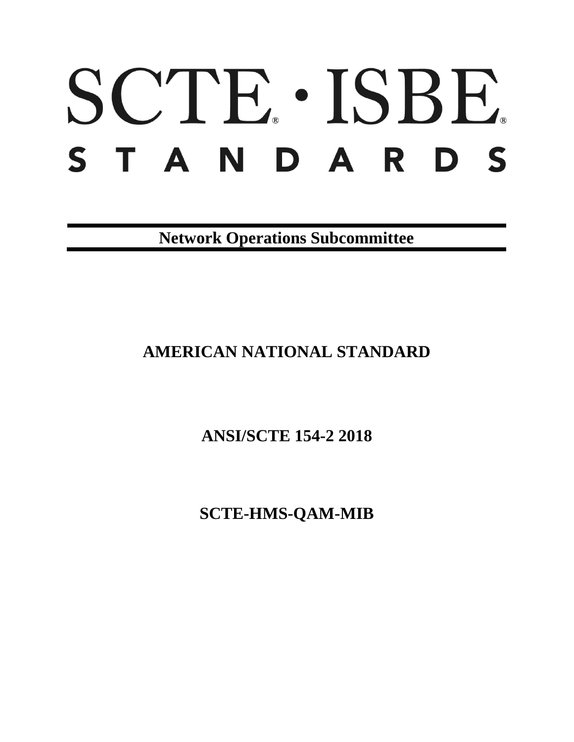# SCTE · ISBE. STANDARDS

**Network Operations Subcommittee**

# **AMERICAN NATIONAL STANDARD**

**ANSI/SCTE 154-2 2018**

**SCTE-HMS-QAM-MIB**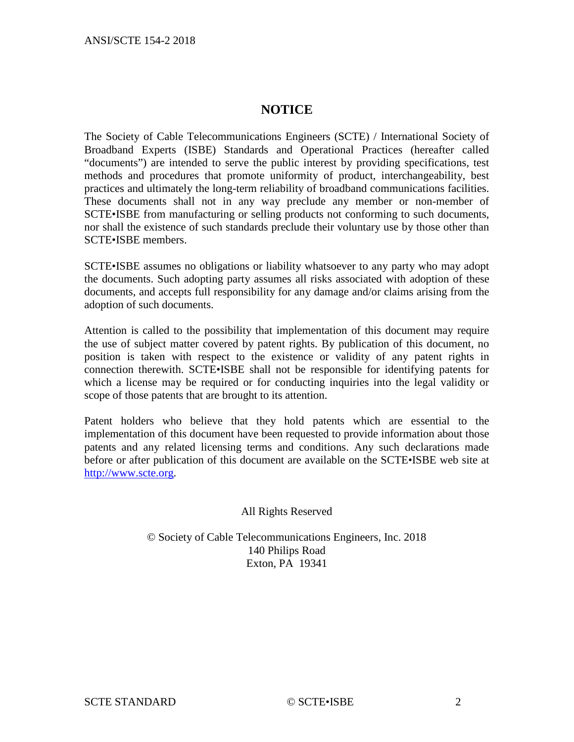### **NOTICE**

The Society of Cable Telecommunications Engineers (SCTE) / International Society of Broadband Experts (ISBE) Standards and Operational Practices (hereafter called "documents") are intended to serve the public interest by providing specifications, test methods and procedures that promote uniformity of product, interchangeability, best practices and ultimately the long-term reliability of broadband communications facilities. These documents shall not in any way preclude any member or non-member of SCTE•ISBE from manufacturing or selling products not conforming to such documents, nor shall the existence of such standards preclude their voluntary use by those other than SCTE•ISBE members.

SCTE•ISBE assumes no obligations or liability whatsoever to any party who may adopt the documents. Such adopting party assumes all risks associated with adoption of these documents, and accepts full responsibility for any damage and/or claims arising from the adoption of such documents.

Attention is called to the possibility that implementation of this document may require the use of subject matter covered by patent rights. By publication of this document, no position is taken with respect to the existence or validity of any patent rights in connection therewith. SCTE•ISBE shall not be responsible for identifying patents for which a license may be required or for conducting inquiries into the legal validity or scope of those patents that are brought to its attention.

Patent holders who believe that they hold patents which are essential to the implementation of this document have been requested to provide information about those patents and any related licensing terms and conditions. Any such declarations made before or after publication of this document are available on the SCTE•ISBE web site at [http://www.scte.org.](http://www.scte.org/)

#### All Rights Reserved

© Society of Cable Telecommunications Engineers, Inc. 2018 140 Philips Road Exton, PA 19341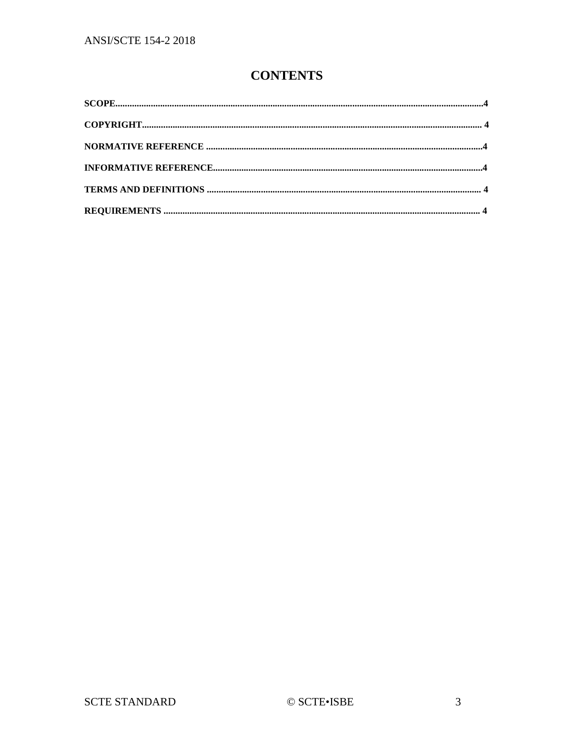## **CONTENTS**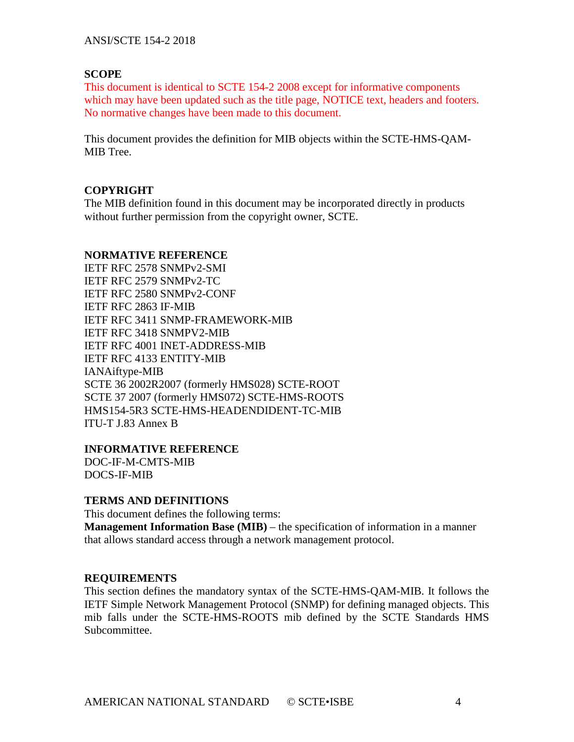#### **SCOPE**

This document is identical to SCTE 154-2 2008 except for informative components which may have been updated such as the title page, NOTICE text, headers and footers. No normative changes have been made to this document.

This document provides the definition for MIB objects within the SCTE-HMS-QAM-MIB Tree.

#### **COPYRIGHT**

The MIB definition found in this document may be incorporated directly in products without further permission from the copyright owner, SCTE.

#### **NORMATIVE REFERENCE**

IETF RFC 2578 SNMPv2-SMI IETF RFC 2579 SNMPv2-TC IETF RFC 2580 SNMPv2-CONF IETF RFC 2863 IF-MIB IETF RFC 3411 SNMP-FRAMEWORK-MIB IETF RFC 3418 SNMPV2-MIB IETF RFC 4001 INET-ADDRESS-MIB IETF RFC 4133 ENTITY-MIB IANAiftype-MIB SCTE 36 2002R2007 (formerly HMS028) SCTE-ROOT SCTE 37 2007 (formerly HMS072) SCTE-HMS-ROOTS HMS154-5R3 SCTE-HMS-HEADENDIDENT-TC-MIB ITU-T J.83 Annex B

**INFORMATIVE REFERENCE**

DOC-IF-M-CMTS-MIB DOCS-IF-MIB

#### **TERMS AND DEFINITIONS**

This document defines the following terms: **Management Information Base (MIB)** – the specification of information in a manner that allows standard access through a network management protocol.

#### **REQUIREMENTS**

This section defines the mandatory syntax of the SCTE-HMS-QAM-MIB. It follows the IETF Simple Network Management Protocol (SNMP) for defining managed objects. This mib falls under the SCTE-HMS-ROOTS mib defined by the SCTE Standards HMS Subcommittee.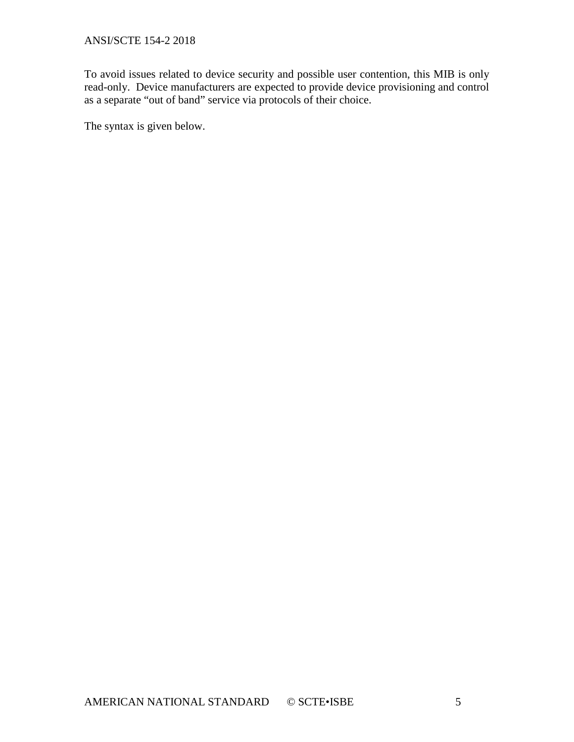To avoid issues related to device security and possible user contention, this MIB is only read-only. Device manufacturers are expected to provide device provisioning and control as a separate "out of band" service via protocols of their choice.

The syntax is given below.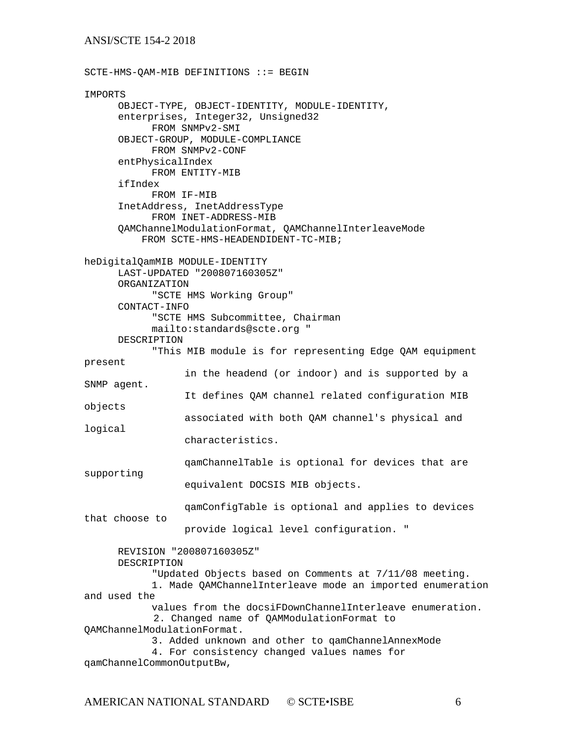SCTE-HMS-QAM-MIB DEFINITIONS ::= BEGIN IMPORTS OBJECT-TYPE, OBJECT-IDENTITY, MODULE-IDENTITY, enterprises, Integer32, Unsigned32 FROM SNMPv2-SMI OBJECT-GROUP, MODULE-COMPLIANCE FROM SNMPv2-CONF entPhysicalIndex FROM ENTITY-MIB ifIndex FROM IF-MIB InetAddress, InetAddressType FROM INET-ADDRESS-MIB QAMChannelModulationFormat, QAMChannelInterleaveMode FROM SCTE-HMS-HEADENDIDENT-TC-MIB; heDigitalQamMIB MODULE-IDENTITY LAST-UPDATED "200807160305Z" ORGANIZATION "SCTE HMS Working Group" CONTACT-INFO "SCTE HMS Subcommittee, Chairman mailto:standards@scte.org " DESCRIPTION "This MIB module is for representing Edge QAM equipment present in the headend (or indoor) and is supported by a SNMP agent. It defines QAM channel related configuration MIB objects associated with both QAM channel's physical and logical characteristics. qamChannelTable is optional for devices that are supporting equivalent DOCSIS MIB objects. qamConfigTable is optional and applies to devices that choose to provide logical level configuration. " REVISION "200807160305Z" DESCRIPTION "Updated Objects based on Comments at 7/11/08 meeting. 1. Made QAMChannelInterleave mode an imported enumeration and used the values from the docsiFDownChannelInterleave enumeration. 2. Changed name of QAMModulationFormat to QAMChannelModulationFormat. 3. Added unknown and other to qamChannelAnnexMode 4. For consistency changed values names for qamChannelCommonOutputBw,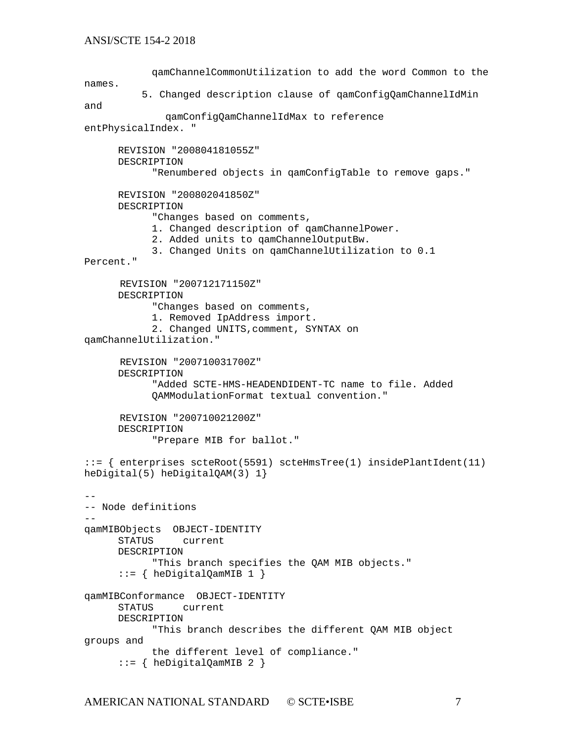```
qamChannelCommonUtilization to add the word Common to the 
names.
           5. Changed description clause of qamConfigQamChannelIdMin 
and 
               qamConfigQamChannelIdMax to reference 
entPhysicalIndex. "
      REVISION "200804181055Z"
      DESCRIPTION 
            "Renumbered objects in qamConfigTable to remove gaps."
      REVISION "200802041850Z"
      DESCRIPTION 
            "Changes based on comments, 
            1. Changed description of qamChannelPower.
            2. Added units to qamChannelOutputBw.
            3. Changed Units on qamChannelUtilization to 0.1 
Percent."
       REVISION "200712171150Z"
      DESCRIPTION 
            "Changes based on comments, 
            1. Removed IpAddress import.
            2. Changed UNITS,comment, SYNTAX on 
qamChannelUtilization."
       REVISION "200710031700Z"
      DESCRIPTION 
            "Added SCTE-HMS-HEADENDIDENT-TC name to file. Added
            QAMModulationFormat textual convention."
       REVISION "200710021200Z"
      DESCRIPTION 
            "Prepare MIB for ballot."
::= { enterprises scteRoot(5591) scteHmsTree(1) insidePlantIdent(11) 
heDigital(5) heDigitalQAM(3) 1}
--
-- Node definitions
-qamMIBObjects OBJECT-IDENTITY
                current
      DESCRIPTION 
            "This branch specifies the QAM MIB objects."
      ::= { heDigitalQamMIB 1 }
qamMIBConformance OBJECT-IDENTITY
                current
      DESCRIPTION 
            "This branch describes the different QAM MIB object 
groups and 
           the different level of compliance."
      ::= { heDigitalQamMIB 2 }
```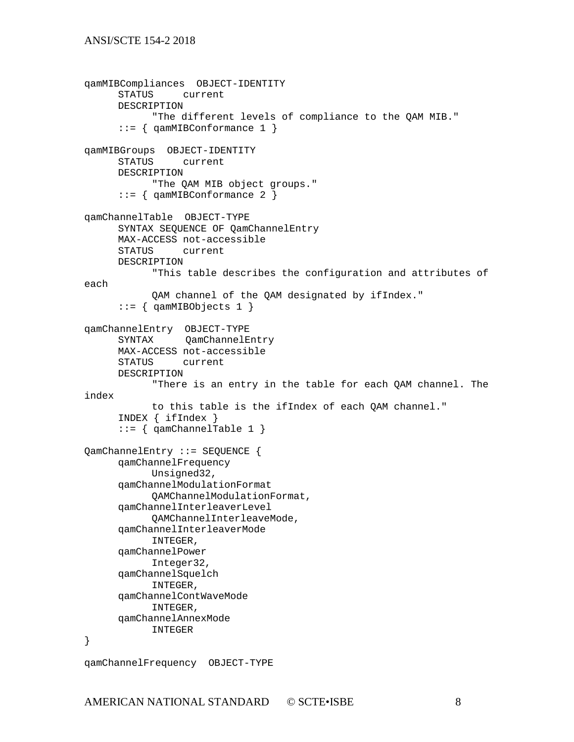```
qamMIBCompliances OBJECT-IDENTITY
              current
     DESCRIPTION 
           "The different levels of compliance to the QAM MIB."
     ::= { qamMIBConformance 1 }
qamMIBGroups OBJECT-IDENTITY
               current
     DESCRIPTION 
           "The QAM MIB object groups."
     ::= { qamMIBConformance 2 }
qamChannelTable OBJECT-TYPE
     SYNTAX SEQUENCE OF QamChannelEntry
     MAX-ACCESS not-accessible
               current
     DESCRIPTION 
           "This table describes the configuration and attributes of 
each
           QAM channel of the QAM designated by ifIndex."
     ::= { qamMIBObjects 1 }
qamChannelEntry OBJECT-TYPE
     SYNTAX QamChannelEntry
     MAX-ACCESS not-accessible
     STATUS current
     DESCRIPTION 
           "There is an entry in the table for each QAM channel. The 
index 
           to this table is the ifIndex of each QAM channel."
     INDEX { ifIndex }
     ::= { qamChannelTable 1 }
QamChannelEntry ::= SEQUENCE {
     qamChannelFrequency
           Unsigned32,
     qamChannelModulationFormat
           QAMChannelModulationFormat,
     qamChannelInterleaverLevel
           QAMChannelInterleaveMode,
     qamChannelInterleaverMode
           INTEGER,
     qamChannelPower
           Integer32,
     qamChannelSquelch
           INTEGER,
     qamChannelContWaveMode
           INTEGER,
     qamChannelAnnexMode
           INTEGER
}
```
AMERICAN NATIONAL STANDARD © SCTE•ISBE 8

qamChannelFrequency OBJECT-TYPE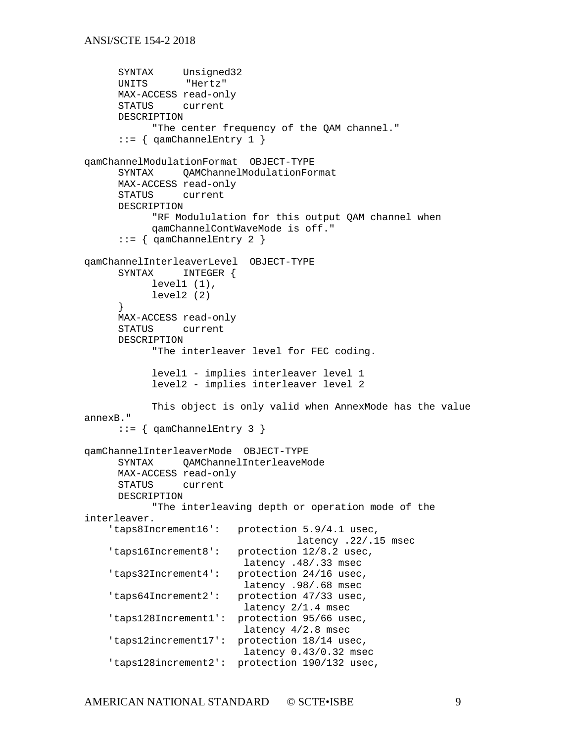```
SYNTAX Unsigned32<br>UNITS "Hertz"
     UNITS
     MAX-ACCESS read-only
     STATUS current
     DESCRIPTION 
           "The center frequency of the QAM channel."
     ::= { qamChannelEntry 1 }
qamChannelModulationFormat OBJECT-TYPE
     SYNTAX QAMChannelModulationFormat
     MAX-ACCESS read-only
     STATUS current
     DESCRIPTION 
           "RF Modululation for this output QAM channel when 
           qamChannelContWaveMode is off."
     ::= { qamChannelEntry 2 }
qamChannelInterleaverLevel OBJECT-TYPE
     SYNTAX INTEGER {
           level1 (1),
           level2 (2)
     }
     MAX-ACCESS read-only
                current
     DESCRIPTION 
           "The interleaver level for FEC coding. 
           level1 - implies interleaver level 1
           level2 - implies interleaver level 2
           This object is only valid when AnnexMode has the value 
annexB."
     ::= { qamChannelEntry 3 }
qamChannelInterleaverMode OBJECT-TYPE
     SYNTAX QAMChannelInterleaveMode
     MAX-ACCESS read-only<br>STATUS current
                current
     DESCRIPTION 
           "The interleaving depth or operation mode of the 
interleaver.
     'taps8Increment16': protection 5.9/4.1 usec,
                                     latency .22/.15 msec
     'taps16Increment8': protection 12/8.2 usec,
                           latency .48/.33 msec
     'taps32Increment4': protection 24/16 usec,
                           latency .98/.68 msec
     'taps64Increment2': protection 47/33 usec,
                           latency 2/1.4 msec
     'taps128Increment1': protection 95/66 usec,
                           latency 4/2.8 msec
     'taps12increment17': protection 18/14 usec,
                            latency 0.43/0.32 msec
     'taps128increment2': protection 190/132 usec,
```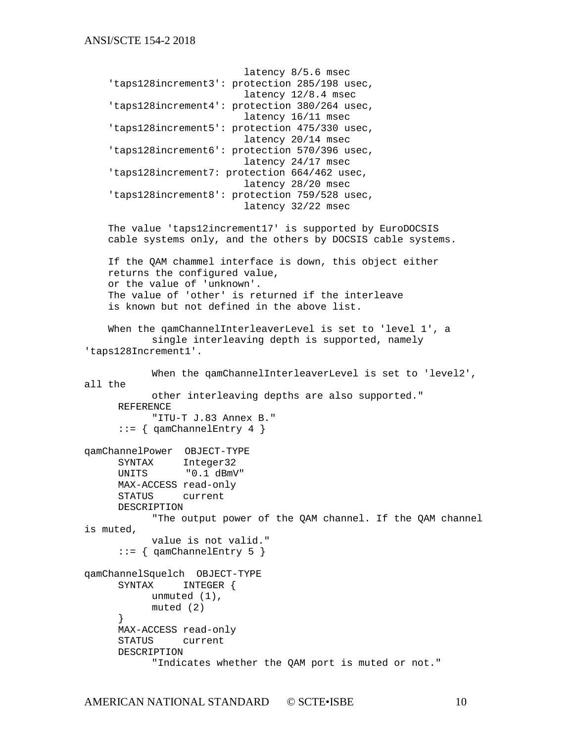```
 latency 8/5.6 msec
     'taps128increment3': protection 285/198 usec,
                             latency 12/8.4 msec
     'taps128increment4': protection 380/264 usec,
                             latency 16/11 msec
     'taps128increment5': protection 475/330 usec,
                             latency 20/14 msec
     'taps128increment6': protection 570/396 usec,
                             latency 24/17 msec
     'taps128increment7: protection 664/462 usec,
                             latency 28/20 msec
     'taps128increment8': protection 759/528 usec,
                             latency 32/22 msec
     The value 'taps12increment17' is supported by EuroDOCSIS
     cable systems only, and the others by DOCSIS cable systems.
     If the QAM chammel interface is down, this object either 
     returns the configured value,
     or the value of 'unknown'.
     The value of 'other' is returned if the interleave
     is known but not defined in the above list.
    When the gamChannelInterleaverLevel is set to 'level 1', a
            single interleaving depth is supported, namely 
'taps128Increment1'.
           When the qamChannelInterleaverLevel is set to 'level2',
all the 
           other interleaving depths are also supported."
     REFERENCE 
           "ITU-T J.83 Annex B."
      ::= { qamChannelEntry 4 }
qamChannelPower OBJECT-TYPE
     SYNTAX Integer32<br>UNITS "0.1 dBmV
                 "0.1 dBmV"
     MAX-ACCESS read-only<br>STATUS current
                 current
     DESCRIPTION 
            "The output power of the QAM channel. If the QAM channel 
is muted,
           value is not valid."
      ::= { qamChannelEntry 5 }
qamChannelSquelch OBJECT-TYPE
               INTEGER {
           unmuted (1),
           muted (2)
      }
     MAX-ACCESS read-only
             current
     DESCRIPTION 
            "Indicates whether the QAM port is muted or not."
```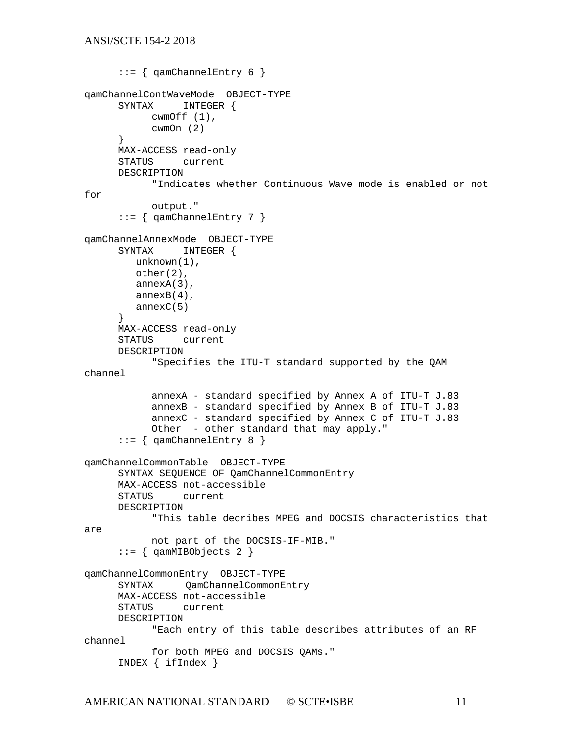```
::= { qamChannelEntry 6 }
qamChannelContWaveMode OBJECT-TYPE
     SYNTAX INTEGER {
           cwmOff (1),
           cwmOn (2)
     }
     MAX-ACCESS read-only
     STATUS current
     DESCRIPTION 
           "Indicates whether Continuous Wave mode is enabled or not 
for
           output."
     ::= { qamChannelEntry 7 }
qamChannelAnnexMode OBJECT-TYPE
              INTEGER {
         unknown(1),
         other(2),
         annexA(3),
         annexB(4),
         annexC(5)
     }
     MAX-ACCESS read-only
     STATUS current
     DESCRIPTION 
           "Specifies the ITU-T standard supported by the QAM 
channel
           annexA - standard specified by Annex A of ITU-T J.83
           annexB - standard specified by Annex B of ITU-T J.83
           annexC - standard specified by Annex C of ITU-T J.83
           Other - other standard that may apply."
     ::= { qamChannelEntry 8 }
qamChannelCommonTable OBJECT-TYPE
     SYNTAX SEQUENCE OF QamChannelCommonEntry
     MAX-ACCESS not-accessible
                current
     DESCRIPTION 
           "This table decribes MPEG and DOCSIS characteristics that 
are
           not part of the DOCSIS-IF-MIB."
     ::= { qamMIBObjects 2 }
qamChannelCommonEntry OBJECT-TYPE
     SYNTAX QamChannelCommonEntry
     MAX-ACCESS not-accessible<br>STATUS current
              current
     DESCRIPTION 
           "Each entry of this table describes attributes of an RF 
channel
           for both MPEG and DOCSIS QAMs."
     INDEX { ifIndex }
```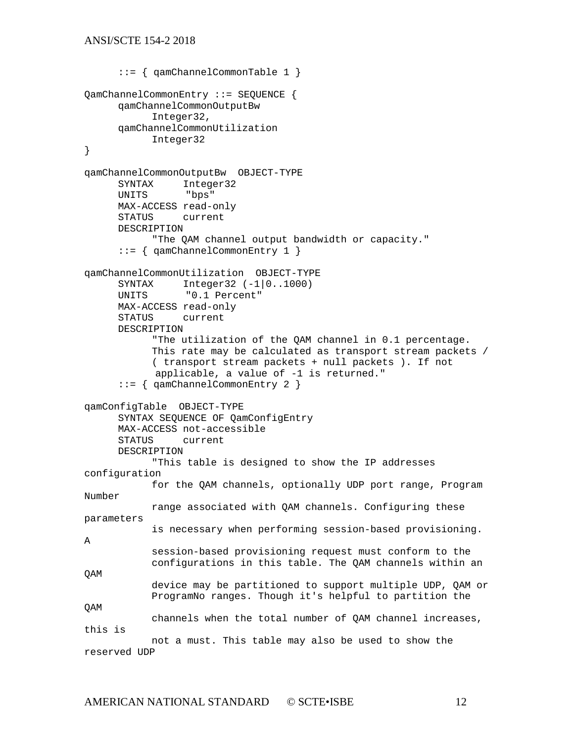```
::= { qamChannelCommonTable 1 }
QamChannelCommonEntry ::= SEQUENCE {
      qamChannelCommonOutputBw
            Integer32,
      qamChannelCommonUtilization
            Integer32
}
qamChannelCommonOutputBw OBJECT-TYPE
               Integer32<br>"bps"
      UNITS
      MAX-ACCESS read-only
      STATUS current
      DESCRIPTION 
            "The QAM channel output bandwidth or capacity."
      ::= { qamChannelCommonEntry 1 }
qamChannelCommonUtilization OBJECT-TYPE
      SYNTAX Integer32 (-1|0..1000)<br>UNITS "0.1 Percent"
                 "0.1 Percent"
      MAX-ACCESS read-only<br>STATUS current
      STATUS
      DESCRIPTION 
            "The utilization of the QAM channel in 0.1 percentage.
            This rate may be calculated as transport stream packets / 
            ( transport stream packets + null packets ). If not 
             applicable, a value of -1 is returned."
      ::= { qamChannelCommonEntry 2 }
qamConfigTable OBJECT-TYPE
      SYNTAX SEQUENCE OF QamConfigEntry
      MAX-ACCESS not-accessible
      STATUS current
      DESCRIPTION 
            "This table is designed to show the IP addresses 
configuration
            for the QAM channels, optionally UDP port range, Program 
Number
            range associated with QAM channels. Configuring these 
parameters
            is necessary when performing session-based provisioning. 
A 
            session-based provisioning request must conform to the
            configurations in this table. The QAM channels within an 
QAM 
            device may be partitioned to support multiple UDP, QAM or
            ProgramNo ranges. Though it's helpful to partition the 
QAM
            channels when the total number of QAM channel increases, 
this is
           not a must. This table may also be used to show the 
reserved UDP
```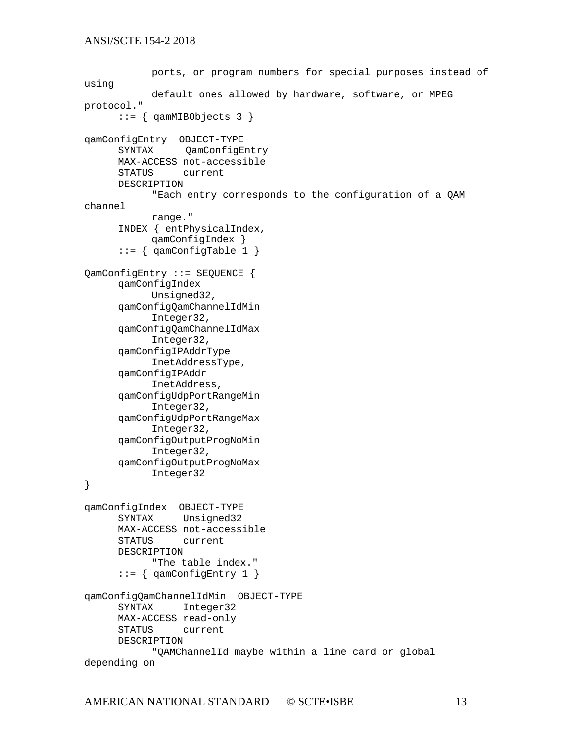```
ports, or program numbers for special purposes instead of 
using
            default ones allowed by hardware, software, or MPEG 
protocol."
      ::= { qamMIBObjects 3 }
qamConfigEntry OBJECT-TYPE
                QamConfigEntry
      MAX-ACCESS not-accessible
      STATUS current
      DESCRIPTION 
            "Each entry corresponds to the configuration of a QAM 
channel
           range."
      INDEX { entPhysicalIndex, 
            qamConfigIndex }
      ::= { qamConfigTable 1 }
QamConfigEntry ::= SEQUENCE {
      qamConfigIndex
            Unsigned32,
      qamConfigQamChannelIdMin
            Integer32,
      qamConfigQamChannelIdMax
            Integer32,
      qamConfigIPAddrType
            InetAddressType,
      qamConfigIPAddr
            InetAddress,
      qamConfigUdpPortRangeMin
            Integer32,
      qamConfigUdpPortRangeMax
            Integer32,
      qamConfigOutputProgNoMin
            Integer32,
      qamConfigOutputProgNoMax
            Integer32
}
qamConfigIndex OBJECT-TYPE
              Unsigned32
      MAX-ACCESS not-accessible<br>STATUS current
             current
      DESCRIPTION 
            "The table index."
      ::= { qamConfiqEntry 1 }
qamConfigQamChannelIdMin OBJECT-TYPE
               Integer32
      MAX-ACCESS read-only<br>STATUS current
               current
      DESCRIPTION 
            "QAMChannelId maybe within a line card or global 
depending on
```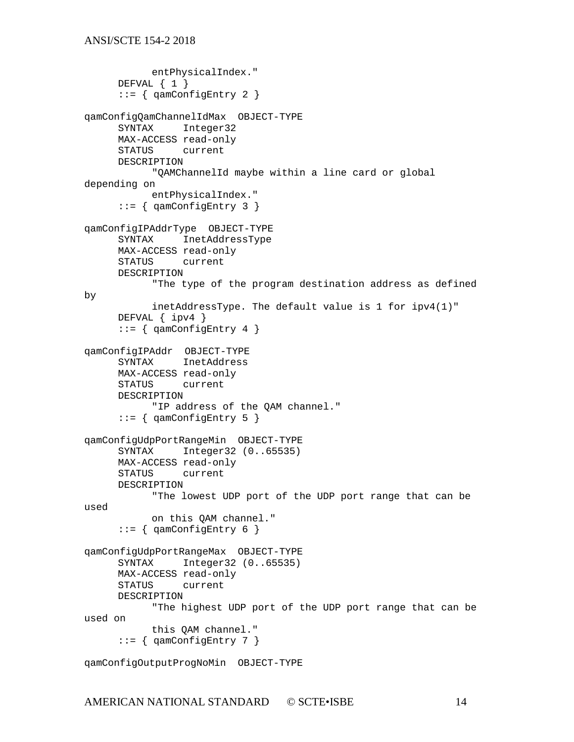```
entPhysicalIndex."
     DEFVAL \{ 1 \}::= { qamConfigEntry 2 }
qamConfigQamChannelIdMax OBJECT-TYPE
             Integer32
     MAX-ACCESS read-only<br>STATUS current
              current
     DESCRIPTION 
           "QAMChannelId maybe within a line card or global 
depending on
           entPhysicalIndex."
      ::= { qamConfigEntry 3 }
qamConfigIPAddrType OBJECT-TYPE
     SYNTAX InetAddressType
     MAX-ACCESS read-only
     STATUS current
     DESCRIPTION 
           "The type of the program destination address as defined 
by 
           inetAddressType. The default value is 1 for ipv4(1)"
     DEFVAL { ipv4 }
      ::= { qamConfigEntry 4 }
qamConfigIPAddr OBJECT-TYPE
     SYNTAX InetAddress
     MAX-ACCESS read-only
             current
     DESCRIPTION 
           "IP address of the QAM channel."
      ::= { qamConfigEntry 5 }
qamConfigUdpPortRangeMin OBJECT-TYPE
     SYNTAX Integer32 (0..65535)
     MAX-ACCESS read-only<br>STATUS current
             current
     DESCRIPTION 
           "The lowest UDP port of the UDP port range that can be 
used
           on this QAM channel."
       ::= \{ qamConfigEntry 6 \}qamConfigUdpPortRangeMax OBJECT-TYPE
     SYNTAX Integer32 (0..65535)
     MAX-ACCESS read-only
     STATUS current
     DESCRIPTION 
           "The highest UDP port of the UDP port range that can be 
used on
           this QAM channel."
      ::= { qamConfigEntry 7 }
qamConfigOutputProgNoMin OBJECT-TYPE
```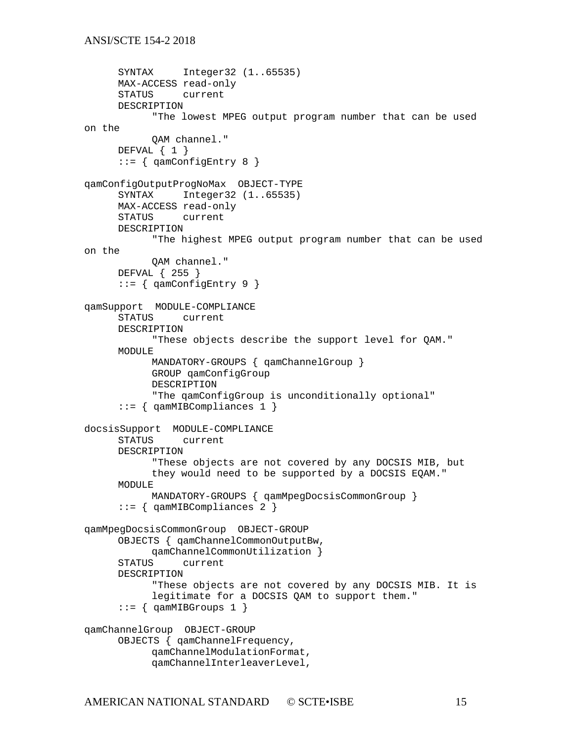```
SYNTAX Integer32 (1..65535)
     MAX-ACCESS read-only
     STATUS current
     DESCRIPTION 
           "The lowest MPEG output program number that can be used 
on the
           QAM channel."
     DEFVAL \{ 1 \}::= { qamConfigEntry 8 }
qamConfigOutputProgNoMax OBJECT-TYPE
              Integer32 (1..65535)
     MAX-ACCESS read-only
     STATUS current
     DESCRIPTION 
           "The highest MPEG output program number that can be used 
on the
           QAM channel."
     DEFVAL { 255 }
     ::= { qamConfigEntry 9 }
qamSupport MODULE-COMPLIANCE
     STATUS current
     DESCRIPTION 
           "These objects describe the support level for QAM."
     MODULE
           MANDATORY-GROUPS { qamChannelGroup } 
           GROUP qamConfigGroup
           DESCRIPTION 
           "The qamConfigGroup is unconditionally optional"
     ::= { qamMIBCompliances 1 }
docsisSupport MODULE-COMPLIANCE
     STATUS current
     DESCRIPTION 
           "These objects are not covered by any DOCSIS MIB, but
           they would need to be supported by a DOCSIS EQAM."
     MODULE
           MANDATORY-GROUPS { qamMpegDocsisCommonGroup } 
     ::= { qamMIBCompliances 2 }
qamMpegDocsisCommonGroup OBJECT-GROUP
     OBJECTS { qamChannelCommonOutputBw, 
     qamChannelCommonUtilization }<br>STATUS current
             current
     DESCRIPTION 
           "These objects are not covered by any DOCSIS MIB. It is
           legitimate for a DOCSIS QAM to support them."
     ::= { qamMIBGroups 1 }
qamChannelGroup OBJECT-GROUP
     OBJECTS { qamChannelFrequency, 
           qamChannelModulationFormat, 
           qamChannelInterleaverLevel,
```